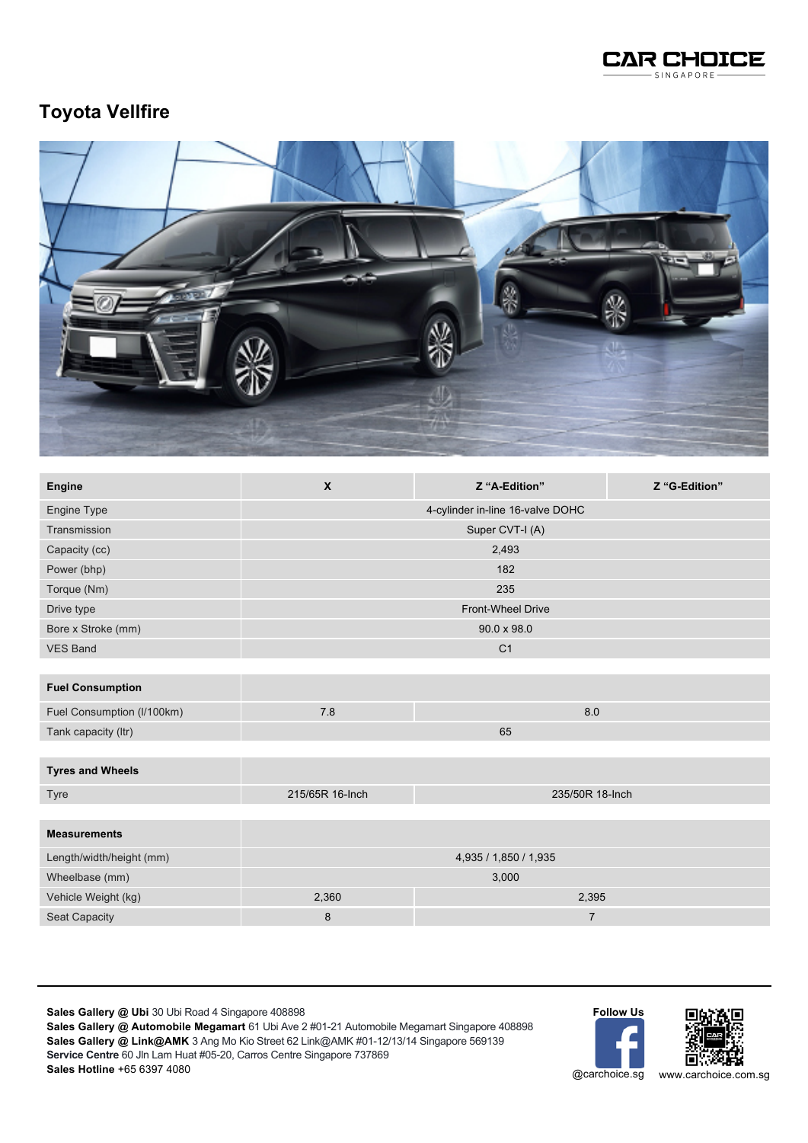

## **Toyota Vellfire**



| Engine             | X                                | Z "A-Edition"  | Z "G-Edition" |  |
|--------------------|----------------------------------|----------------|---------------|--|
| Engine Type        | 4-cylinder in-line 16-valve DOHC |                |               |  |
| Transmission       | Super CVT-I (A)                  |                |               |  |
| Capacity (cc)      | 2,493                            |                |               |  |
| Power (bhp)        | 182                              |                |               |  |
| Torque (Nm)        | 235                              |                |               |  |
| Drive type         | <b>Front-Wheel Drive</b>         |                |               |  |
| Bore x Stroke (mm) | $90.0 \times 98.0$               |                |               |  |
| <b>VES Band</b>    |                                  | C <sub>1</sub> |               |  |
|                    |                                  |                |               |  |

## **Fuel Consumption**

| Fuel Consumption (I/100km) |    |  |
|----------------------------|----|--|
| Tank capacity (ltr)        | 65 |  |
|                            |    |  |

## **Tyres and Wheels** Tyre 215/65R 16-Inch 235/50R 18-Inch

| <b>Measurements</b>      |                       |       |  |
|--------------------------|-----------------------|-------|--|
| Length/width/height (mm) | 4,935 / 1,850 / 1,935 |       |  |
| Wheelbase (mm)           | 3,000                 |       |  |
| Vehicle Weight (kg)      | 2,360                 | 2,395 |  |
| <b>Seat Capacity</b>     |                       |       |  |

**Sales Gallery @ Ubi** 30 Ubi Road 4 Singapore 408898

**Sales Gallery @ Automobile Megamart** 61 Ubi Ave 2 #01-21 Automobile Megamart Singapore 408898 **Sales Gallery @ Link@AMK** 3 Ang Mo Kio Street 62 Link@AMK #01-12/13/14 Singapore 569139 **Service Centre** 60 Jln Lam Huat #05-20, Carros Centre Singapore 737869 **Sales Hotline** +65 6397 4080